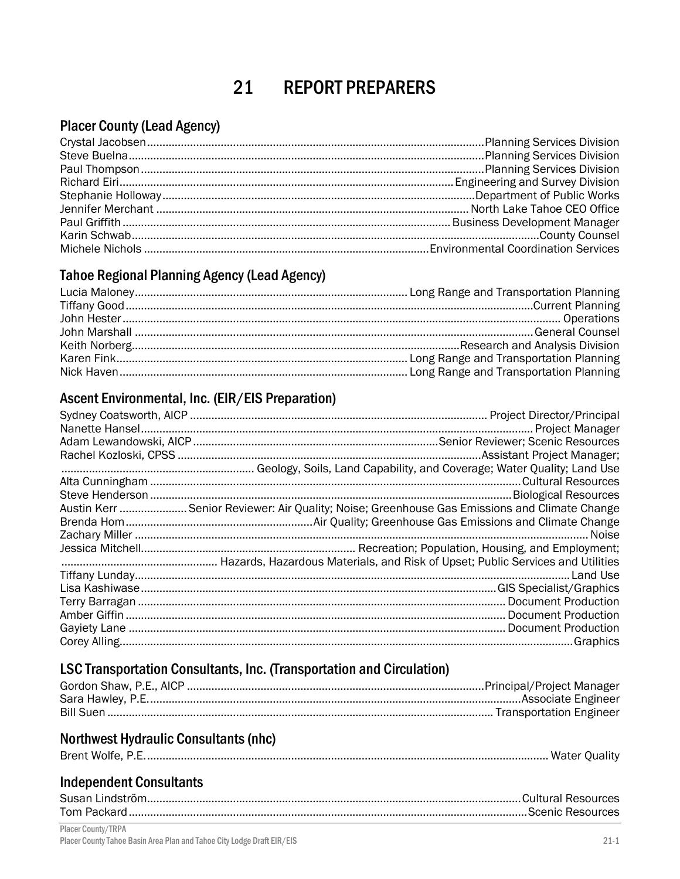#### 21 **REPORT PREPARERS**

# **Placer County (Lead Agency)**

### **Tahoe Regional Planning Agency (Lead Agency)**

## Ascent Environmental, Inc. (EIR/EIS Preparation)

| Austin Kerr  Senior Reviewer: Air Quality; Noise; Greenhouse Gas Emissions and Climate Change |
|-----------------------------------------------------------------------------------------------|
|                                                                                               |
|                                                                                               |
|                                                                                               |
|                                                                                               |
|                                                                                               |
|                                                                                               |
|                                                                                               |
|                                                                                               |
|                                                                                               |
|                                                                                               |

# LSC Transportation Consultants, Inc. (Transportation and Circulation)

### **Northwest Hydraulic Consultants (nhc)**

| Brent Wolfe, P.E. |  |
|-------------------|--|
|-------------------|--|

## **Independent Consultants**